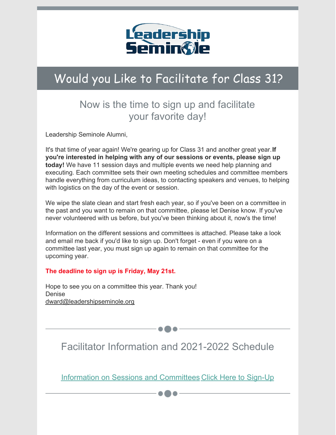

## Would you Like to Facilitate for Class 31?

## Now is the time to sign up and facilitate your favorite day!

Leadership Seminole Alumni,

It's that time of year again! We're gearing up for Class 31 and another great year.**If you're interested in helping with any of our sessions or events, please sign up today!** We have 11 session days and multiple events we need help planning and executing. Each committee sets their own meeting schedules and committee members handle everything from curriculum ideas, to contacting speakers and venues, to helping with logistics on the day of the event or session.

We wipe the slate clean and start fresh each year, so if you've been on a committee in the past and you want to remain on that committee, please let Denise know. If you've never volunteered with us before, but you've been thinking about it, now's the time!

Information on the different sessions and committees is attached. Please take a look and email me back if you'd like to sign up. Don't forget - even if you were on a committee last year, you must sign up again to remain on that committee for the upcoming year.

## **The deadline to sign up is Friday, May 21st.**

Hope to see you on a committee this year. Thank you! Denise [dward@leadershipseminole.org](mailto:dward@leadershipseminole.org)

Facilitator Information and 2021-2022 Schedule

Information on Sessions and [Committees](https://files.constantcontact.com/206c3f27be/81f5be45-8342-4ffb-9e69-42a24d205d8e.pdf) Click Here to [Sign-Up](mailto:dward@leadershipseminole.org)